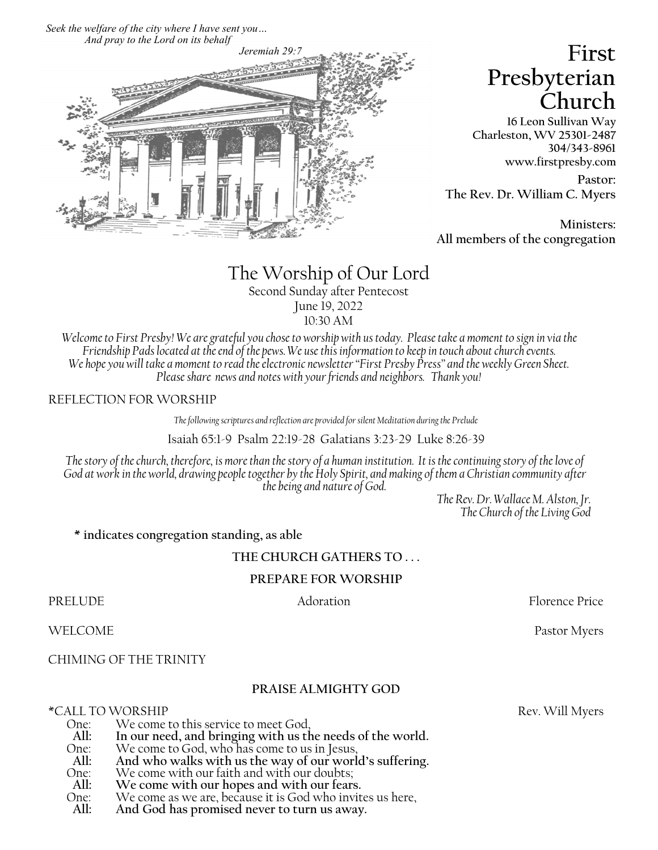*Seek the welfare of the city where I have sent you… And pray to the Lord on its behalf*



# **First Presbyterian Church**

**16 Leon Sullivan Way Charleston, WV 25301-2487 304/343-8961 www.firstpresby.com**

**Pastor: The Rev. Dr. William C. Myers**

**Ministers: All members of the congregation**

# The Worship of Our Lord Second Sunday after Pentecost

June 19, 2022

10:30 AM

*Welcome to First Presby! We are grateful you chose to worship with us today. Please take a moment to sign in via the Friendship Pads located at the end of the pews. We use this information to keep in touch about church events. We hope you will take a moment to read the electronic newsletter "First Presby Press" and the weekly Green Sheet. Please share news and notes with your friends and neighbors. Thank you!*

# REFLECTION FOR WORSHIP

*The following scriptures and reflection are provided for silent Meditation during the Prelude*

Isaiah 65:1-9 Psalm 22:19-28 Galatians 3:23-29 Luke 8:26-39

*The story of the church, therefore, is more than the story of a human institution. It is the continuing story of the love of God at work in the world, drawing people together by the Holy Spirit, and making of them a Christian community after the being and nature of God.*

*The Rev. Dr. Wallace M. Alston, Jr. The Church of the Living God*

**\* indicates congregation standing, as able**

# **THE CHURCH GATHERS TO . . .**

# **PREPARE FOR WORSHIP**

PRELUDE **Adoration** Adoration **Florence Price** 

WELCOME Pastor Myers

CHIMING OF THE TRINITY

# **PRAISE ALMIGHTY GOD**

\*CALL TO WORSHIP Rev. Will Myers

One: We come to this service to meet God,<br>All: In our need, and bringing with us th

- All: In our need, and bringing with us the needs of the world.<br>One: We come to God, who has come to us in Jesus.
- One: We come to God, who has come to us in Jesus,
- All: And who walks with us the way of our world's suffering.<br>One: We come with our faith and with our doubts:
- One: We come with our faith and with our doubts;<br>All: We come with our hopes and with our fears
- All: **We come with our hopes and with our fears.**<br>One: We come as we are, because it is God who invit
- One: We come as we are, because it is God who invites us here,<br>All: And God has promised never to turn us awav.
- And God has promised never to turn us away.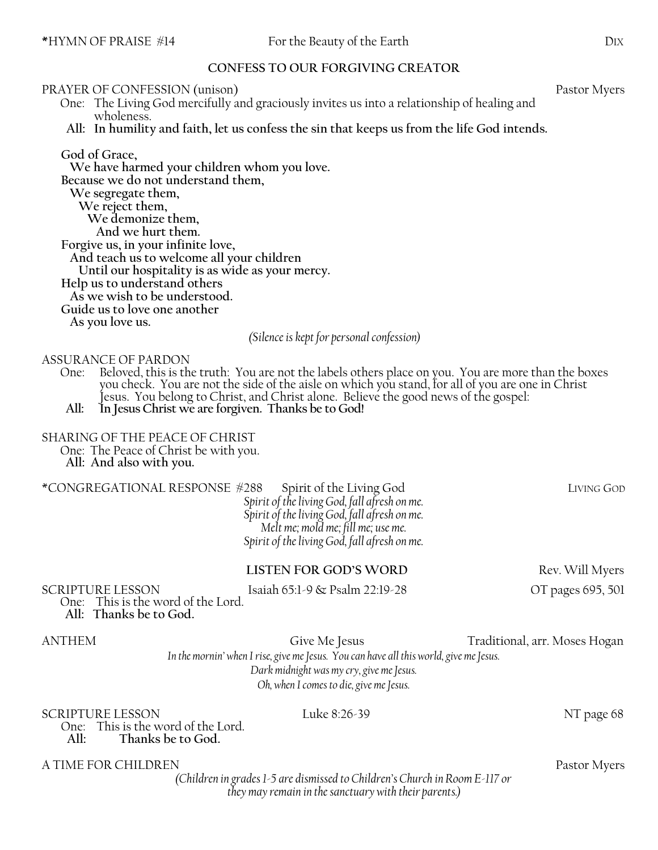### **CONFESS TO OUR FORGIVING CREATOR**

### PRAYER OF CONFESSION (unison) and the contract of the contract of the contract of the contract of the contract of the contract of the contract of the contract of the contract of the contract of the contract of the contract

One: The Living God mercifully and graciously invites us into a relationship of healing and wholeness.

 **All: In humility and faith, let us confess the sin that keeps us from the life God intends.**

**God of Grace,**

 **We have harmed your children whom you love. Because we do not understand them, We segregate them,**

 **We reject them, We demonize them, And we hurt them. Forgive us, in your infinite love, And teach us to welcome all your children Until our hospitality is as wide as your mercy. Help us to understand others As we wish to be understood. Guide us to love one another As you love us.**

*(Silence is kept for personal confession)*

#### ASSURANCE OF PARDON

One: Beloved, this is the truth: You are not the labels others place on you. You are more than the boxes you check. You are not the side of the aisle on which you stand, for all of you are one in Christ Jesus. You belong to Christ, and Christ alone. Believe the good news of the gospel:

**All: In Jesus Christ we are forgiven. Thanks be to God!**

### SHARING OF THE PEACE OF CHRIST

One: The Peace of Christ be with you. **All: And also with you.**

#### \*CONGREGATIONAL RESPONSE #288 Spirit of the Living God LIVING GOD

*Spirit of the living God, fall afresh on me. Spirit of the living God, fall afresh on me. Melt me; mold me; fill me; use me. Spirit of the living God, fall afresh on me.*

### **LISTEN FOR GOD'S WORD** Rev. Will Myers

SCRIPTURE LESSON Isaiah 65:1-9 & Psalm 22:19-28 OT pages 695, 501 One: This is the word of the Lord.  **All: Thanks be to God.**

ANTHEM Give Me Jesus Traditional, arr. Moses Hogan

*In the mornin' when I rise, give me Jesus. You can have all this world, give me Jesus. Dark midnight was my cry, give me Jesus. Oh, when I comes to die, give me Jesus.*

SCRIPTURE LESSON Luke 8:26-39 NT page 68

One: This is the word of the Lord.<br>All: Thanks be to God. Thanks be to God.

### A TIME FOR CHILDREN Pastor Myers

*(Children in grades 1-5 are dismissed to Children's Church in Room E-117 or they may remain in the sanctuary with their parents.)*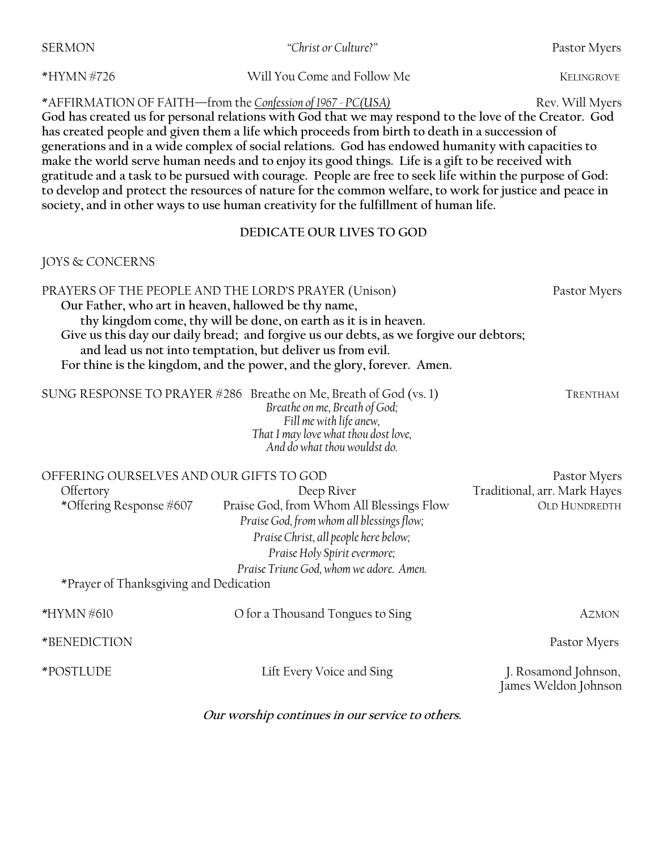| <b>SERMON</b>                                                                                                             | "Christ or Culture?"                                                                                                                                                                                                                                                                                                                                                                                                                                                                                                                                                                                                                                                                                                                                                                               | Pastor Myers                                                  |
|---------------------------------------------------------------------------------------------------------------------------|----------------------------------------------------------------------------------------------------------------------------------------------------------------------------------------------------------------------------------------------------------------------------------------------------------------------------------------------------------------------------------------------------------------------------------------------------------------------------------------------------------------------------------------------------------------------------------------------------------------------------------------------------------------------------------------------------------------------------------------------------------------------------------------------------|---------------------------------------------------------------|
| *HYMN #726                                                                                                                | Will You Come and Follow Me                                                                                                                                                                                                                                                                                                                                                                                                                                                                                                                                                                                                                                                                                                                                                                        | <b>KELINGROVE</b>                                             |
|                                                                                                                           | *AFFIRMATION OF FAITH-from the Confession of 1967 - PC(USA)<br>God has created us for personal relations with God that we may respond to the love of the Creator. God<br>has created people and given them a life which proceeds from birth to death in a succession of<br>generations and in a wide complex of social relations. God has endowed humanity with capacities to<br>make the world serve human needs and to enjoy its good things. Life is a gift to be received with<br>gratitude and a task to be pursued with courage. People are free to seek life within the purpose of God:<br>to develop and protect the resources of nature for the common welfare, to work for justice and peace in<br>society, and in other ways to use human creativity for the fulfillment of human life. | Rev. Will Myers                                               |
| DEDICATE OUR LIVES TO GOD                                                                                                 |                                                                                                                                                                                                                                                                                                                                                                                                                                                                                                                                                                                                                                                                                                                                                                                                    |                                                               |
| JOYS & CONCERNS                                                                                                           |                                                                                                                                                                                                                                                                                                                                                                                                                                                                                                                                                                                                                                                                                                                                                                                                    |                                                               |
| Our Father, who art in heaven, hallowed be thy name,                                                                      | PRAYERS OF THE PEOPLE AND THE LORD'S PRAYER (Unison)<br>thy kingdom come, thy will be done, on earth as it is in heaven.<br>Give us this day our daily bread; and forgive us our debts, as we forgive our debtors;<br>and lead us not into temptation, but deliver us from evil.<br>For thine is the kingdom, and the power, and the glory, forever. Amen.                                                                                                                                                                                                                                                                                                                                                                                                                                         | Pastor Myers                                                  |
|                                                                                                                           | SUNG RESPONSE TO PRAYER #286 Breathe on Me, Breath of God (vs. 1)<br>Breathe on me, Breath of God;<br>Fill me with life anew,<br>That I may love what thou dost love,<br>And do what thou wouldst do.                                                                                                                                                                                                                                                                                                                                                                                                                                                                                                                                                                                              | <b>TRENTHAM</b>                                               |
| OFFERING OURSELVES AND OUR GIFTS TO GOD<br>Offertory<br>*Offering Response #607<br>*Prayer of Thanksgiving and Dedication | Deep River<br>Praise God, from Whom All Blessings Flow<br>Praise God, from whom all blessings flow;<br>Praise Christ, all people here below;<br>Praise Holy Spirit evermore;<br>Praise Triune God, whom we adore. Amen.                                                                                                                                                                                                                                                                                                                                                                                                                                                                                                                                                                            | Pastor Myers<br>Traditional, arr. Mark Hayes<br>OLD HUNDREDTH |
| *HYMN #610                                                                                                                | O for a Thousand Tongues to Sing                                                                                                                                                                                                                                                                                                                                                                                                                                                                                                                                                                                                                                                                                                                                                                   | <b>AZMON</b>                                                  |
| *BENEDICTION                                                                                                              |                                                                                                                                                                                                                                                                                                                                                                                                                                                                                                                                                                                                                                                                                                                                                                                                    | Pastor Myers                                                  |
| *POSTLUDE                                                                                                                 | Lift Every Voice and Sing                                                                                                                                                                                                                                                                                                                                                                                                                                                                                                                                                                                                                                                                                                                                                                          | J. Rosamond Johnson,<br>James Weldon Johnson                  |

**Our worship continues in our service to others.**